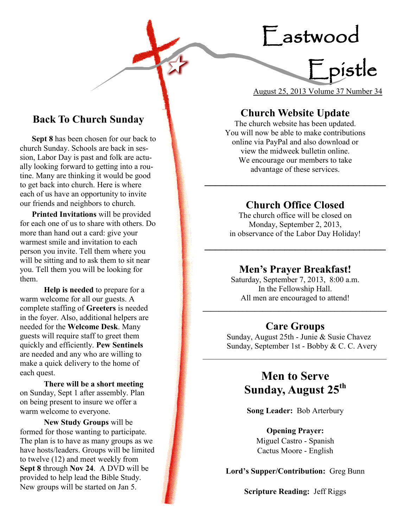## Eastwood



August 25, 2013 Volume 37 Number 34

## **Church Website Update**

The church website has been updated. You will now be able to make contributions online via PayPal and also download or view the midweek bulletin online. We encourage our members to take advantage of these services.

## **Church Office Closed**

**\_\_\_\_\_\_\_\_\_\_\_\_\_\_\_\_\_\_\_\_\_\_\_\_\_\_\_\_\_\_\_\_\_\_**

The church office will be closed on Monday, September 2, 2013, in observance of the Labor Day Holiday!

**\_\_\_\_\_\_\_\_\_\_\_\_\_\_\_\_\_\_\_\_\_\_\_\_\_\_\_\_\_\_\_\_\_\_**

### **Men's Prayer Breakfast!**

Saturday, September 7, 2013, 8:00 a.m. In the Fellowship Hall. All men are encouraged to attend!

**\_\_\_\_\_\_\_\_\_\_\_\_\_\_\_\_\_\_\_\_\_\_\_\_\_\_\_\_\_\_\_\_\_\_\_\_\_\_\_\_\_\_\_\_\_\_**

## **Care Groups**

Sunday, August 25th - Junie & Susie Chavez Sunday, September 1st - Bobby & C. C. Avery

## **Men to Serve Sunday, August 25th**

 $\mathcal{L}_\text{max}$  and  $\mathcal{L}_\text{max}$  and  $\mathcal{L}_\text{max}$  and  $\mathcal{L}_\text{max}$  and  $\mathcal{L}_\text{max}$ 

**Song Leader:** Bob Arterbury

#### **Opening Prayer:**

Miguel Castro - Spanish Cactus Moore - English

**Lord's Supper/Contribution:** Greg Bunn

**Scripture Reading:** Jeff Riggs

## **Back To Church Sunday**

 **Sept 8** has been chosen for our back to church Sunday. Schools are back in session, Labor Day is past and folk are actually looking forward to getting into a routine. Many are thinking it would be good to get back into church. Here is where each of us have an opportunity to invite our friends and neighbors to church.

 **Printed Invitations** will be provided for each one of us to share with others. Do more than hand out a card: give your warmest smile and invitation to each person you invite. Tell them where you will be sitting and to ask them to sit near you. Tell them you will be looking for them.

**Help is needed** to prepare for a warm welcome for all our guests. A complete staffing of **Greeters** is needed in the foyer. Also, additional helpers are needed for the **Welcome Desk**. Many guests will require staff to greet them quickly and efficiently. **Pew Sentinels** are needed and any who are willing to make a quick delivery to the home of each quest.

**There will be a short meeting** on Sunday, Sept 1 after assembly. Plan on being present to insure we offer a warm welcome to everyone.

**New Study Groups** will be formed for those wanting to participate. The plan is to have as many groups as we have hosts/leaders. Groups will be limited to twelve (12) and meet weekly from **Sept 8** through **Nov 24**. A DVD will be provided to help lead the Bible Study. New groups will be started on Jan 5.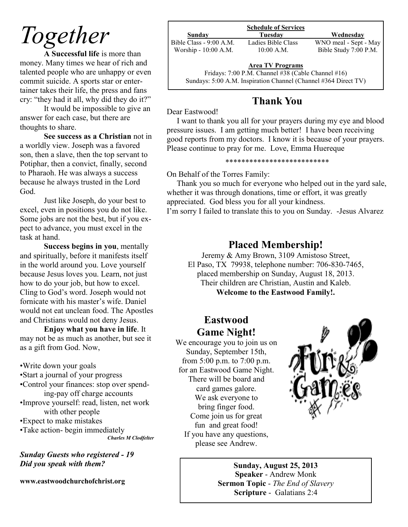## *Together*

**A Successful life** is more than money. Many times we hear of rich and talented people who are unhappy or even commit suicide. A sports star or entertainer takes their life, the press and fans cry: "they had it all, why did they do it?"

It would be impossible to give an answer for each case, but there are thoughts to share.

**See success as a Christian** not in a worldly view. Joseph was a favored son, then a slave, then the top servant to Potiphar, then a convict, finally, second to Pharaoh. He was always a success because he always trusted in the Lord God.

Just like Joseph, do your best to excel, even in positions you do not like. Some jobs are not the best, but if you expect to advance, you must excel in the task at hand.

**Success begins in you**, mentally and spiritually, before it manifests itself in the world around you. Love yourself because Jesus loves you. Learn, not just how to do your job, but how to excel. Cling to God's word. Joseph would not fornicate with his master's wife. Daniel would not eat unclean food. The Apostles and Christians would not deny Jesus.

**Enjoy what you have in life**. It may not be as much as another, but see it as a gift from God. Now,

•Write down your goals •Start a journal of your progress •Control your finances: stop over spending-pay off charge accounts •Improve yourself: read, listen, net work with other people •Expect to make mistakes

•Take action- begin immediately *Charles M Clodfelter*

#### *Sunday Guests who registered - 19 Did you speak with them?*

**www.eastwoodchurchofchrist.org**

| <b>Schedule of Services</b> |                    |                       |
|-----------------------------|--------------------|-----------------------|
| Sunday                      | Tuesdav            | Wednesday             |
| Bible Class - 9:00 A.M.     | Ladies Bible Class | WNO meal - Sept - May |
| Worship - 10:00 A.M.        | $10:00$ A.M.       | Bible Study 7:00 P.M. |

#### **Area TV Programs**

Fridays: 7:00 P.M. Channel #38 (Cable Channel #16) Sundays: 5:00 A.M. Inspiration Channel (Channel #364 Direct TV)

## **Thank You**

Dear Eastwood!

 I want to thank you all for your prayers during my eye and blood pressure issues. I am getting much better! I have been receiving good reports from my doctors. I know it is because of your prayers. Please continue to pray for me. Love, Emma Huereque

#### \*\*\*\*\*\*\*\*\*\*\*\*\*\*\*\*\*\*\*\*\*\*\*\*\*\*

On Behalf of the Torres Family:

 Thank you so much for everyone who helped out in the yard sale, whether it was through donations, time or effort, it was greatly appreciated. God bless you for all your kindness. I'm sorry I failed to translate this to you on Sunday. -Jesus Alvarez

## **Placed Membership!**

Jeremy & Amy Brown, 3109 Amistoso Street, El Paso, TX 79938, telephone number: 706-830-7465, placed membership on Sunday, August 18, 2013. Their children are Christian, Austin and Kaleb. **Welcome to the Eastwood Family!.**

## **Eastwood Game Night!**

We encourage you to join us on Sunday, September 15th, from 5:00 p.m. to 7:00 p.m. for an Eastwood Game Night. There will be board and card games galore. We ask everyone to bring finger food. Come join us for great fun and great food! If you have any questions, please see Andrew.



**Sunday, August 25, 2013 Speaker** - Andrew Monk **Sermon Topic** - *The End of Slavery* **Scripture** - Galatians 2:4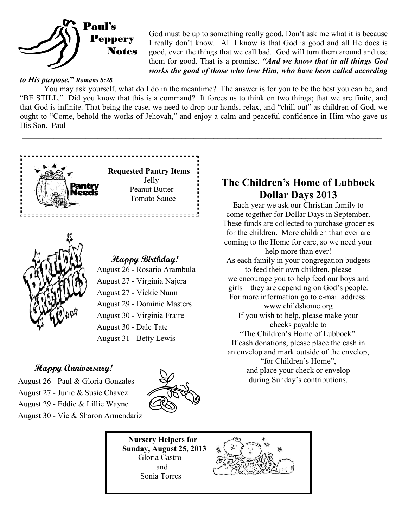

God must be up to something really good. Don't ask me what it is because I really don't know. All I know is that God is good and all He does is good, even the things that we call bad. God will turn them around and use them for good. That is a promise. *"And we know that in all things God works the good of those who love Him, who have been called according* 

#### *to His purpose.***"** *Romans 8:28.*

You may ask yourself, what do I do in the meantime? The answer is for you to be the best you can be, and "BE STILL." Did you know that this is a command? It forces us to think on two things; that we are finite, and that God is infinite. That being the case, we need to drop our hands, relax, and "chill out" as children of God, we ought to "Come, behold the works of Jehovah," and enjoy a calm and peaceful confidence in Him who gave us His Son. Paul

**\_\_\_\_\_\_\_\_\_\_\_\_\_\_\_\_\_\_\_\_\_\_\_\_\_\_\_\_\_\_\_\_\_\_\_\_\_\_\_\_\_\_\_\_\_\_\_\_\_\_\_\_\_\_\_\_\_\_\_\_\_\_\_\_\_\_\_\_\_\_\_\_\_\_\_\_\_\_\_\_\_\_\_\_\_\_\_\_\_\_**





 **Happy Birthday!** August 26 - Rosario Arambula August 27 - Virginia Najera August 27 - Vickie Nunn August 29 - Dominic Masters August 30 - Virginia Fraire August 30 - Dale Tate August 31 - Betty Lewis

### **Happy Anniversary!**

August 26 - Paul & Gloria Gonzales August 27 - Junie & Susie Chavez August 29 - Eddie & Lillie Wayne August 30 - Vic & Sharon Armendariz



 **Nursery Helpers for Sunday, August 25, 2013** Gloria Castro and Sonia Torres



## **The Children's Home of Lubbock Dollar Days 2013**

Each year we ask our Christian family to come together for Dollar Days in September. These funds are collected to purchase groceries for the children. More children than ever are coming to the Home for care, so we need your help more than ever! As each family in your congregation budgets to feed their own children, please we encourage you to help feed our boys and girls—they are depending on God's people. For more information go to e-mail address: www.childshome.org If you wish to help, please make your checks payable to "The Children's Home of Lubbock". If cash donations, please place the cash in an envelop and mark outside of the envelop, "for Children's Home", and place your check or envelop during Sunday's contributions.